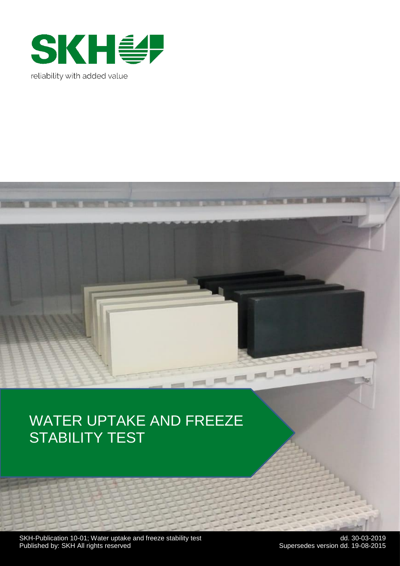

# WATER UPTAKE AND FREEZE STABILITY TEST

 $-1$ 

SKH-Publication 10-01; Water uptake and freeze stability test detail and the state of the dd. 30-03-2019 Published by: SKH All rights reserved Supersedes version dd. 19-08-2015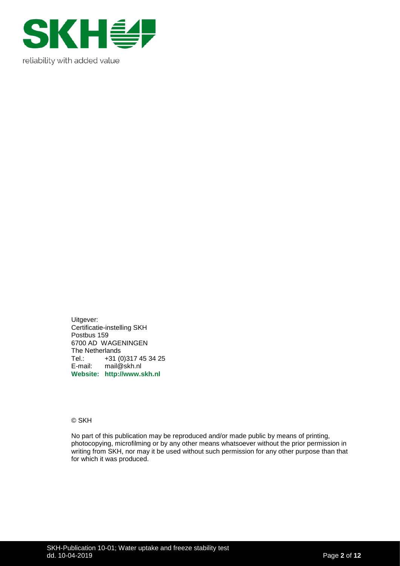

Uitgever: Certificatie-instelling SKH Postbus 159 6700 AD WAGENINGEN The Netherlands Tel.: +31 (0)317 45 34 25<br>E-mail: mail@skh.nl mail@skh.nl **Website: http://www.skh.nl**

© SKH

No part of this publication may be reproduced and/or made public by means of printing, photocopying, microfilming or by any other means whatsoever without the prior permission in writing from SKH, nor may it be used without such permission for any other purpose than that for which it was produced.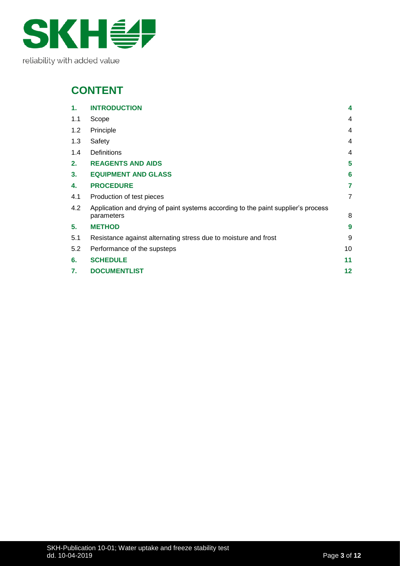

## **CONTENT**

| 1.  | <b>INTRODUCTION</b>                                                                             | $\boldsymbol{4}$ |
|-----|-------------------------------------------------------------------------------------------------|------------------|
| 1.1 | Scope                                                                                           | 4                |
| 1.2 | Principle                                                                                       | 4                |
| 1.3 | Safety                                                                                          | 4                |
| 1.4 | <b>Definitions</b>                                                                              | 4                |
| 2.  | <b>REAGENTS AND AIDS</b>                                                                        | 5                |
| 3.  | <b>EQUIPMENT AND GLASS</b>                                                                      | 6                |
| 4.  | <b>PROCEDURE</b>                                                                                | 7                |
| 4.1 | Production of test pieces                                                                       | $\overline{7}$   |
| 4.2 | Application and drying of paint systems according to the paint supplier's process<br>parameters | 8                |
| 5.  | <b>METHOD</b>                                                                                   | 9                |
| 5.1 | Resistance against alternating stress due to moisture and frost                                 | 9                |
| 5.2 | Performance of the supsteps                                                                     | 10               |
| 6.  | <b>SCHEDULE</b>                                                                                 | 11               |
| 7.  | <b>DOCUMENTLIST</b>                                                                             | $12 \,$          |
|     |                                                                                                 |                  |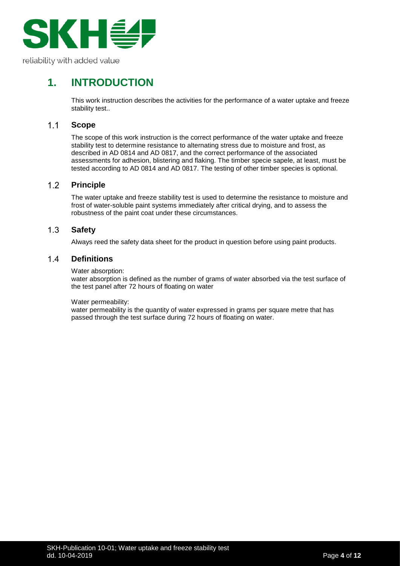

## <span id="page-3-0"></span>**1. INTRODUCTION**

This work instruction describes the activities for the performance of a water uptake and freeze stability test..

#### <span id="page-3-1"></span> $1.1$ **Scope**

The scope of this work instruction is the correct performance of the water uptake and freeze stability test to determine resistance to alternating stress due to moisture and frost, as described in AD 0814 and AD 0817, and the correct performance of the associated assessments for adhesion, blistering and flaking. The timber specie sapele, at least, must be tested according to AD 0814 and AD 0817. The testing of other timber species is optional.

#### <span id="page-3-2"></span> $1.2$ **Principle**

The water uptake and freeze stability test is used to determine the resistance to moisture and frost of water-soluble paint systems immediately after critical drying, and to assess the robustness of the paint coat under these circumstances.

#### <span id="page-3-3"></span> $1.3$ **Safety**

Always reed the safety data sheet for the product in question before using paint products.

#### <span id="page-3-4"></span> $1.4$ **Definitions**

Water absorption:

water absorption is defined as the number of grams of water absorbed via the test surface of the test panel after 72 hours of floating on water

### Water permeability:

water permeability is the quantity of water expressed in grams per square metre that has passed through the test surface during 72 hours of floating on water.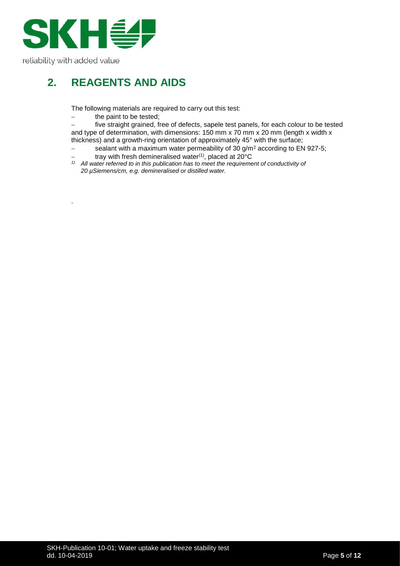

.

## <span id="page-4-0"></span>**2. REAGENTS AND AIDS**

The following materials are required to carry out this test:

the paint to be tested;

− five straight grained, free of defects, sapele test panels, for each colour to be tested and type of determination, with dimensions: 150 mm x 70 mm x 20 mm (length x width x thickness) and a growth-ring orientation of approximately 45° with the surface;

- − sealant with a maximum water permeability of 30 g/m<sup>2</sup> according to EN 927-5;
- − tray with fresh demineralised water(1), placed at 20°C
- *1) All water referred to in this publication has to meet the requirement of conductivity of 20 µSiemens/cm, e.g. demineralised or distilled water.*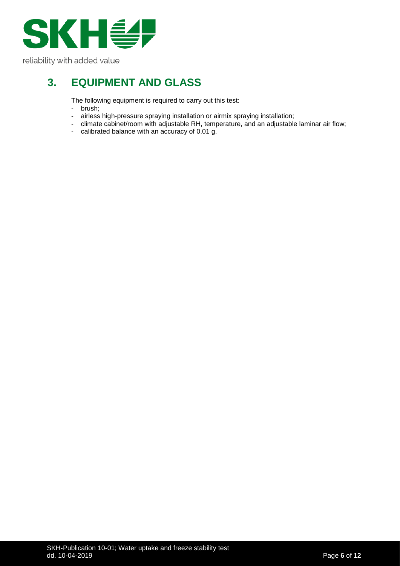

## <span id="page-5-0"></span>**3. EQUIPMENT AND GLASS**

The following equipment is required to carry out this test:

- brush;<br>- airless
- airless high-pressure spraying installation or airmix spraying installation;
- climate cabinet/room with adjustable RH, temperature, and an adjustable laminar air flow;
- calibrated balance with an accuracy of 0.01 g.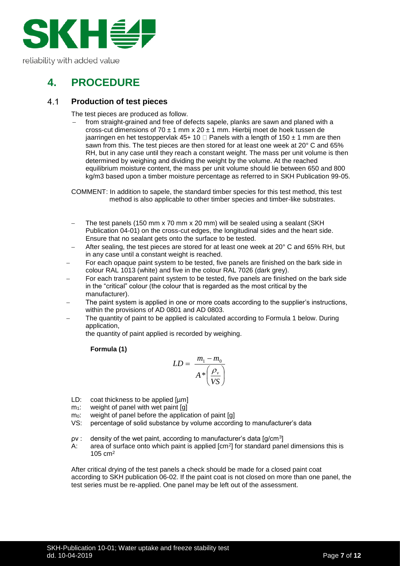

## <span id="page-6-0"></span>**4. PROCEDURE**

#### <span id="page-6-1"></span> $4.1$ **Production of test pieces**

The test pieces are produced as follow.

from straight-grained and free of defects sapele, planks are sawn and planed with a cross-cut dimensions of 70  $\pm$  1 mm x 20  $\pm$  1 mm. Hierbij moet de hoek tussen de iaarringen en het testoppervlak 45+ 10  $\Box$  Panels with a length of 150  $\pm$  1 mm are then sawn from this. The test pieces are then stored for at least one week at 20° C and 65% RH, but in any case until they reach a constant weight. The mass per unit volume is then determined by weighing and dividing the weight by the volume. At the reached equilibrium moisture content, the mass per unit volume should lie between 650 and 800 kg/m3 based upon a timber moisture percentage as referred to in SKH Publication 99-05.

COMMENT: In addition to sapele, the standard timber species for this test method, this test method is also applicable to other timber species and timber-like substrates.

- The test panels (150 mm x 70 mm x 20 mm) will be sealed using a sealant (SKH Publication 04-01) on the cross-cut edges, the longitudinal sides and the heart side. Ensure that no sealant gets onto the surface to be tested.
- − After sealing, the test pieces are stored for at least one week at 20° C and 65% RH, but in any case until a constant weight is reached.
- For each opaque paint system to be tested, five panels are finished on the bark side in colour RAL 1013 (white) and five in the colour RAL 7026 (dark grey).
- For each transparent paint system to be tested, five panels are finished on the bark side in the "critical" colour (the colour that is regarded as the most critical by the manufacturer).
- The paint system is applied in one or more coats according to the supplier's instructions, within the provisions of AD 0801 and AD 0803.
- The quantity of paint to be applied is calculated according to Formula 1 below. During application,

the quantity of paint applied is recorded by weighing.

### **Formula (1)**

$$
LD = \frac{m_1 - m_0}{A \times \left(\frac{\rho_v}{VS}\right)}
$$

- LD: coat thickness to be applied [µm]
- $m_1$ : weight of panel with wet paint [g]
- m<sub>0</sub>: weight of panel before the application of paint [g]
- VS: percentage of solid substance by volume according to manufacturer's data
- $\mathsf{pv}$  : density of the wet paint, according to manufacturer's data [g/cm<sup>3</sup>]
- A: area of surface onto which paint is applied  $[cm^2]$  for standard panel dimensions this is 105 cm<sup>2</sup>

After critical drying of the test panels a check should be made for a closed paint coat according to SKH publication 06-02. If the paint coat is not closed on more than one panel, the test series must be re-applied. One panel may be left out of the assessment.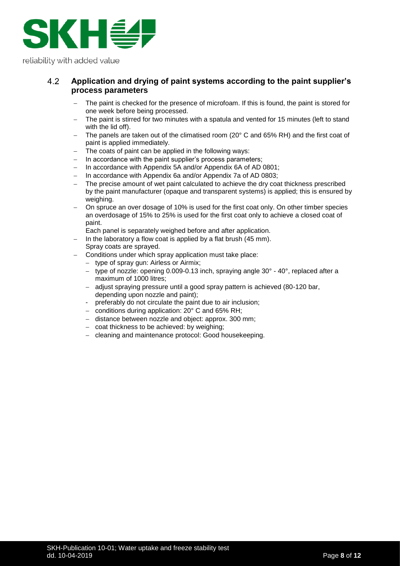

#### <span id="page-7-0"></span>4.2 **Application and drying of paint systems according to the paint supplier's process parameters**

- The paint is checked for the presence of microfoam. If this is found, the paint is stored for one week before being processed.
- The paint is stirred for two minutes with a spatula and vented for 15 minutes (left to stand with the lid off).
- The panels are taken out of the climatised room (20° C and 65% RH) and the first coat of paint is applied immediately.
- The coats of paint can be applied in the following ways:
- − In accordance with the paint supplier's process parameters;
- − In accordance with Appendix 5A and/or Appendix 6A of AD 0801;
- − In accordance with Appendix 6a and/or Appendix 7a of AD 0803;
- The precise amount of wet paint calculated to achieve the dry coat thickness prescribed by the paint manufacturer (opaque and transparent systems) is applied; this is ensured by weighing.
- On spruce an over dosage of 10% is used for the first coat only. On other timber species an overdosage of 15% to 25% is used for the first coat only to achieve a closed coat of paint.

Each panel is separately weighed before and after application.

- In the laboratory a flow coat is applied by a flat brush (45 mm). Spray coats are sprayed.
- − Conditions under which spray application must take place:
	- type of spray gun: Airless or Airmix;
	- type of nozzle: opening 0.009-0.13 inch, spraying angle 30° 40°, replaced after a maximum of 1000 litres;
	- − adjust spraying pressure until a good spray pattern is achieved (80-120 bar, depending upon nozzle and paint);
	- preferably do not circulate the paint due to air inclusion;
	- − conditions during application: 20° C and 65% RH;
	- − distance between nozzle and object: approx. 300 mm;
	- − coat thickness to be achieved: by weighing;
	- − cleaning and maintenance protocol: Good housekeeping.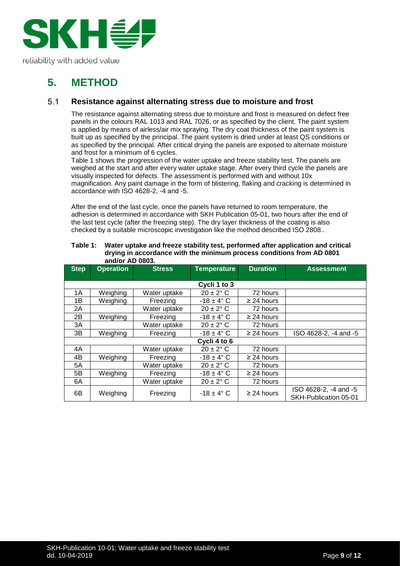

## <span id="page-8-0"></span>**5. METHOD**

#### <span id="page-8-1"></span> $5.1$ **Resistance against alternating stress due to moisture and frost**

The resistance against alternating stress due to moisture and frost is measured on defect free panels in the colours RAL 1013 and RAL 7026, or as specified by the client. The paint system is applied by means of airless/air mix spraying. The dry coat thickness of the paint system is built up as specified by the principal. The paint system is dried under at least QS conditions or as specified by the principal. After critical drying the panels are exposed to alternate moisture and frost for a minimum of 6 cycles.

Table 1 shows the progression of the water uptake and freeze stability test. The panels are weighed at the start and after every water uptake stage. After every third cycle the panels are visually inspected for defects. The assessment is performed with and without 10x magnification. Any paint damage in the form of blistering, flaking and cracking is determined in accordance with ISO 4628-2, -4 and -5.

After the end of the last cycle, once the panels have returned to room temperature, the adhesion is determined in accordance with SKH Publication 05-01, two hours after the end of the last test cycle (after the freezing step). The dry layer thickness of the coating is also checked by a suitable microscopic investigation like the method described ISO 2808..

| <b>Step</b>  | <b>Operation</b> | <b>Stress</b> | <b>Temperature</b>    | <b>Duration</b> | <b>Assessment</b>                              |
|--------------|------------------|---------------|-----------------------|-----------------|------------------------------------------------|
|              |                  |               |                       |                 |                                                |
|              | Cycli 1 to 3     |               |                       |                 |                                                |
| 1A           | Weighing         | Water uptake  | $20 \pm 2^{\circ}$ C  | 72 hours        |                                                |
| 1B           | Weighing         | Freezing      | $-18 \pm 4^{\circ}$ C | $\geq$ 24 hours |                                                |
| 2A           |                  | Water uptake  | $20 \pm 2^{\circ}$ C  | 72 hours        |                                                |
| 2B           | Weighing         | Freezing      | $-18 \pm 4^{\circ}$ C | $\geq$ 24 hours |                                                |
| 3A           |                  | Water uptake  | $20 \pm 2$ °C         | 72 hours        |                                                |
| 3B           | Weighing         | Freezing      | $-18 \pm 4^{\circ}$ C | $\geq$ 24 hours | ISO 4628-2, -4 and -5                          |
| Cycli 4 to 6 |                  |               |                       |                 |                                                |
| 4A           |                  | Water uptake  | $20 \pm 2^{\circ}$ C  | 72 hours        |                                                |
| 4B           | Weighing         | Freezing      | $-18 \pm 4^{\circ}$ C | $\geq$ 24 hours |                                                |
| 5A           |                  | Water uptake  | $20 \pm 2^{\circ}$ C  | 72 hours        |                                                |
| 5B           | Weighing         | Freezing      | $-18 \pm 4^{\circ}$ C | $\geq$ 24 hours |                                                |
| 6A           |                  | Water uptake  | $20 \pm 2^{\circ}$ C  | 72 hours        |                                                |
| 6B           | Weighing         | Freezing      | $-18 \pm 4$ °C        | $\geq$ 24 hours | ISO 4628-2, -4 and -5<br>SKH-Publication 05-01 |

| Table 1: | Water uptake and freeze stability test, performed after application and critical |
|----------|----------------------------------------------------------------------------------|
|          | drying in accordance with the minimum process conditions from AD 0801            |
|          | and/or AD 0803.                                                                  |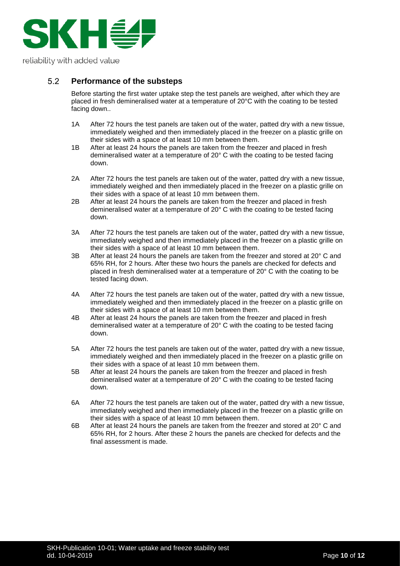

#### <span id="page-9-0"></span> $5.2$ **Performance of the substeps**

Before starting the first water uptake step the test panels are weighed, after which they are placed in fresh demineralised water at a temperature of 20°C with the coating to be tested facing down..

- 1A After 72 hours the test panels are taken out of the water, patted dry with a new tissue, immediately weighed and then immediately placed in the freezer on a plastic grille on their sides with a space of at least 10 mm between them.
- 1B After at least 24 hours the panels are taken from the freezer and placed in fresh demineralised water at a temperature of 20° C with the coating to be tested facing down.
- 2A After 72 hours the test panels are taken out of the water, patted dry with a new tissue, immediately weighed and then immediately placed in the freezer on a plastic grille on their sides with a space of at least 10 mm between them.
- 2B After at least 24 hours the panels are taken from the freezer and placed in fresh demineralised water at a temperature of 20° C with the coating to be tested facing down.
- 3A After 72 hours the test panels are taken out of the water, patted dry with a new tissue, immediately weighed and then immediately placed in the freezer on a plastic grille on their sides with a space of at least 10 mm between them.
- 3B After at least 24 hours the panels are taken from the freezer and stored at  $20^{\circ}$  C and 65% RH, for 2 hours. After these two hours the panels are checked for defects and placed in fresh demineralised water at a temperature of 20° C with the coating to be tested facing down.
- 4A After 72 hours the test panels are taken out of the water, patted dry with a new tissue, immediately weighed and then immediately placed in the freezer on a plastic grille on their sides with a space of at least 10 mm between them.
- 4B After at least 24 hours the panels are taken from the freezer and placed in fresh demineralised water at a temperature of 20° C with the coating to be tested facing down.
- 5A After 72 hours the test panels are taken out of the water, patted dry with a new tissue, immediately weighed and then immediately placed in the freezer on a plastic grille on their sides with a space of at least 10 mm between them.
- 5B After at least 24 hours the panels are taken from the freezer and placed in fresh demineralised water at a temperature of 20° C with the coating to be tested facing down.
- 6A After 72 hours the test panels are taken out of the water, patted dry with a new tissue, immediately weighed and then immediately placed in the freezer on a plastic grille on their sides with a space of at least 10 mm between them.
- 6B After at least 24 hours the panels are taken from the freezer and stored at 20° C and 65% RH, for 2 hours. After these 2 hours the panels are checked for defects and the final assessment is made.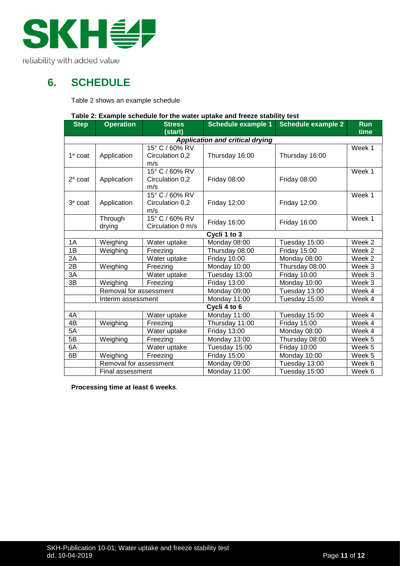

## <span id="page-10-0"></span>**6. SCHEDULE**

Table 2 shows an example schedule

### **Table 2: Example schedule for the water uptake and freeze stability test**

| <b>Step</b> | <b>Operation</b>       | <b>Stress</b><br>(start) | rable 2. Example schedule for the water uptake and fleeze stability test<br>Schedule example 1 | <b>Schedule example 2</b> | <b>Run</b><br>time |
|-------------|------------------------|--------------------------|------------------------------------------------------------------------------------------------|---------------------------|--------------------|
|             |                        |                          | <b>Application and critical drying</b>                                                         |                           |                    |
|             |                        | 15° C / 60% RV           |                                                                                                |                           | Week 1             |
| $1e$ coat   | Application            | Circulation 0,2          | Thursday 16:00                                                                                 | Thursday 16:00            |                    |
|             |                        | m/s                      |                                                                                                |                           |                    |
|             |                        | 15° C / 60% RV           |                                                                                                |                           | Week 1             |
| $2e$ coat   | Application            | Circulation 0,2          | <b>Friday 08:00</b>                                                                            | <b>Friday 08:00</b>       |                    |
|             |                        | m/s                      |                                                                                                |                           |                    |
|             |                        | 15° C / 60% RV           |                                                                                                |                           | Week 1             |
| $3e$ coat   | Application            | Circulation 0,2          | <b>Friday 12:00</b>                                                                            | <b>Friday 12:00</b>       |                    |
|             |                        | m/s                      |                                                                                                |                           |                    |
|             | Through                | 15° C / 60% RV           |                                                                                                |                           | Week 1             |
|             | drying                 | Circulation 0 m/s        | <b>Friday 16:00</b>                                                                            | <b>Friday 16:00</b>       |                    |
|             |                        |                          | Cycli 1 to 3                                                                                   |                           |                    |
| 1A          | Weighing               | Water uptake             | Monday 08:00                                                                                   | Tuesday 15:00             | Week 2             |
| 1B          | Weighing               | Freezing                 | Thursday 08:00                                                                                 | <b>Friday 15:00</b>       | Week 2             |
| 2A          |                        | Water uptake             | <b>Friday 10:00</b>                                                                            | Monday 08:00              | Week 2             |
| 2B          | Weighing               | Freezing                 | Monday 10:00                                                                                   | Thursday 08:00            | Week 3             |
| 3A          |                        | Water uptake             | Tuesday 13:00                                                                                  | <b>Friday 10:00</b>       | Week 3             |
| 3B          | Weighing               | Freezing                 | <b>Friday 13:00</b>                                                                            | Monday 10:00              | Week 3             |
|             | Removal for assessment |                          | Monday 09:00                                                                                   | Tuesday 13:00             | Week 4             |
|             | Interim assessment     |                          | Monday 11:00                                                                                   | Tuesday 15:00             | Week 4             |
|             |                        |                          | Cycli 4 to 6                                                                                   |                           |                    |
| 4A          |                        | Water uptake             | Monday 11:00                                                                                   | Tuesday 15:00             | Week 4             |
| 4B          | Weighing               | Freezing                 | Thursday 11:00                                                                                 | Friday 15:00              | Week 4             |
| 5A          |                        | Water uptake             | <b>Friday 13:00</b>                                                                            | Monday 08:00              | Week 4             |
| 5B          | Weighing               | Freezing                 | Monday 13:00                                                                                   | Thursday 08:00            | Week 5             |
| 6A          |                        | Water uptake             | Tuesday 15:00                                                                                  | <b>Friday 10:00</b>       | Week 5             |
| 6B          | Weighing               | Freezing                 | Friday 15:00                                                                                   | Monday 10:00              | Week 5             |
|             | Removal for assessment |                          | Monday 09:00                                                                                   | Tuesday 13:00             | Week 6             |
|             | Final assessment       |                          | Monday 11:00                                                                                   | Tuesday 15:00             | Week 6             |

**Processing time at least 6 weeks**.